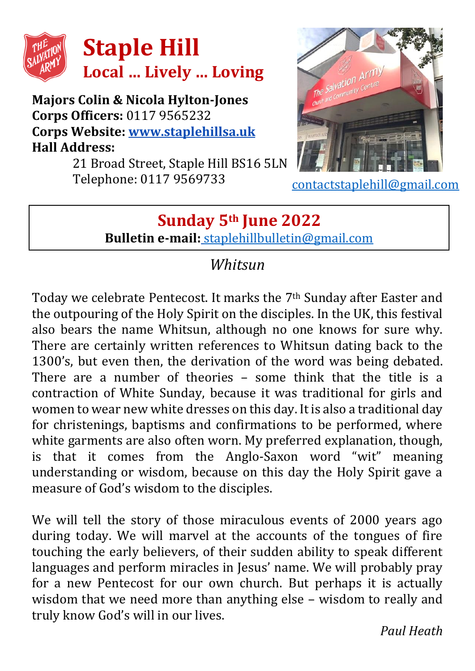

#### **Majors Colin & Nicola Hylton-Jones Corps Officers:** 0117 9565232 **Corps Website: [www.staplehillsa.uk](http://www.staplehillsa.uk/) Hall Address:**

21 Broad Street, Staple Hill BS16 5LN Telephone: 0117 9569733



[contactstaplehill@gmail.com](mailto:contactstaplehill@gmail.com)

## **Sunday 5th June 2022 Bulletin e-mail:** [staplehillbulletin@gmail.com](mailto:staplehillbulletin@gmail.com)

## *Whitsun*

Today we celebrate Pentecost. It marks the  $7<sup>th</sup>$  Sunday after Easter and the outpouring of the Holy Spirit on the disciples. In the UK, this festival also bears the name Whitsun, although no one knows for sure why. There are certainly written references to Whitsun dating back to the 1300's, but even then, the derivation of the word was being debated. There are a number of theories – some think that the title is a contraction of White Sunday, because it was traditional for girls and women to wear new white dresses on this day. It is also a traditional day for christenings, baptisms and confirmations to be performed, where white garments are also often worn. My preferred explanation, though, is that it comes from the Anglo-Saxon word "wit" meaning understanding or wisdom, because on this day the Holy Spirit gave a measure of God's wisdom to the disciples.

We will tell the story of those miraculous events of 2000 years ago during today. We will marvel at the accounts of the tongues of fire touching the early believers, of their sudden ability to speak different languages and perform miracles in Jesus' name. We will probably pray for a new Pentecost for our own church. But perhaps it is actually wisdom that we need more than anything else – wisdom to really and truly know God's will in our lives.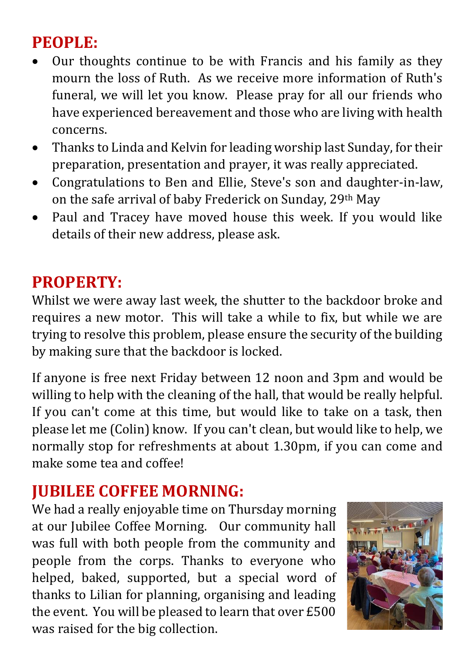# **PEOPLE:**

- Our thoughts continue to be with Francis and his family as they mourn the loss of Ruth. As we receive more information of Ruth's funeral, we will let you know. Please pray for all our friends who have experienced bereavement and those who are living with health concerns.
- Thanks to Linda and Kelvin for leading worship last Sunday, for their preparation, presentation and prayer, it was really appreciated.
- Congratulations to Ben and Ellie, Steve's son and daughter-in-law, on the safe arrival of baby Frederick on Sunday, 29th May
- Paul and Tracey have moved house this week. If you would like details of their new address, please ask.

## **PROPERTY:**

Whilst we were away last week, the shutter to the backdoor broke and requires a new motor. This will take a while to fix, but while we are trying to resolve this problem, please ensure the security of the building by making sure that the backdoor is locked.

If anyone is free next Friday between 12 noon and 3pm and would be willing to help with the cleaning of the hall, that would be really helpful. If you can't come at this time, but would like to take on a task, then please let me (Colin) know. If you can't clean, but would like to help, we normally stop for refreshments at about 1.30pm, if you can come and make some tea and coffee!

## **JUBILEE COFFEE MORNING:**

We had a really enjoyable time on Thursday morning at our Jubilee Coffee Morning. Our community hall was full with both people from the community and people from the corps. Thanks to everyone who helped, baked, supported, but a special word of thanks to Lilian for planning, organising and leading the event. You will be pleased to learn that over £500 was raised for the big collection.

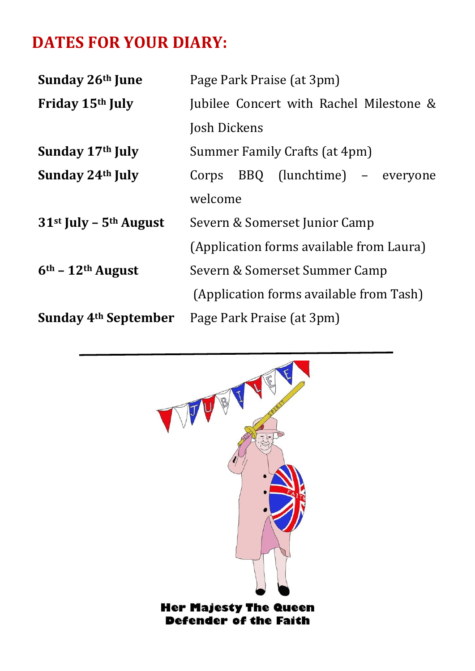## **DATES FOR YOUR DIARY:**

| Sunday 26th June                 | Page Park Praise (at 3pm)                |
|----------------------------------|------------------------------------------|
| Friday 15th July                 | Jubilee Concert with Rachel Milestone &  |
|                                  | Josh Dickens                             |
| Sunday 17th July                 | Summer Family Crafts (at 4pm)            |
| Sunday 24 <sup>th</sup> July     | Corps BBQ (lunchtime) – everyone         |
|                                  | welcome                                  |
| $31st$ July – $5th$ August       | Severn & Somerset Junior Camp            |
|                                  | (Application forms available from Laura) |
| $6th$ – 12 <sup>th</sup> August  | Severn & Somerset Summer Camp            |
|                                  | (Application forms available from Tash)  |
| Sunday 4 <sup>th</sup> September | Page Park Praise (at 3pm)                |